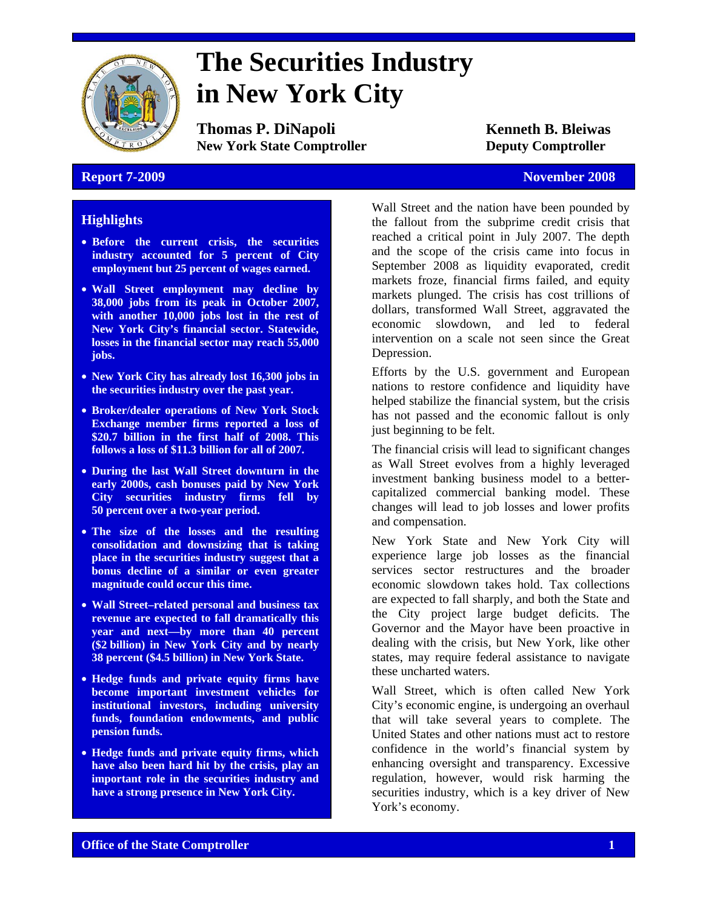

# **The Securities Industry in New York City**

**Thomas P. DiNapoli Kenneth B. Bleiwas New York State Comptroller <b>Deputy Comptroller** 

#### **Report 7-2009** November 2008

# **Highlights**

- **Before the current crisis, the securities industry accounted for 5 percent of City employment but 25 percent of wages earned.**
- **Wall Street employment may decline by 38,000 jobs from its peak in October 2007, with another 10,000 jobs lost in the rest of New York City's financial sector. Statewide, losses in the financial sector may reach 55,000 jobs.**
- **New York City has already lost 16,300 jobs in the securities industry over the past year.**
- **Broker/dealer operations of New York Stock Exchange member firms reported a loss of \$20.7 billion in the first half of 2008. This follows a loss of \$11.3 billion for all of 2007.**
- **During the last Wall Street downturn in the early 2000s, cash bonuses paid by New York City securities industry firms fell by 50 percent over a two-year period.**
- **The size of the losses and the resulting consolidation and downsizing that is taking place in the securities industry suggest that a bonus decline of a similar or even greater magnitude could occur this time.**
- **Wall Street–related personal and business tax revenue are expected to fall dramatically this year and next—by more than 40 percent (\$2 billion) in New York City and by nearly 38 percent (\$4.5 billion) in New York State.**
- **Hedge funds and private equity firms have become important investment vehicles for institutional investors, including university funds, foundation endowments, and public pension funds.**
- **Hedge funds and private equity firms, which have also been hard hit by the crisis, play an important role in the securities industry and have a strong presence in New York City.**

Wall Street and the nation have been pounded by the fallout from the subprime credit crisis that reached a critical point in July 2007. The depth and the scope of the crisis came into focus in September 2008 as liquidity evaporated, credit markets froze, financial firms failed, and equity markets plunged. The crisis has cost trillions of dollars, transformed Wall Street, aggravated the economic slowdown, and led to federal intervention on a scale not seen since the Great Depression.

Efforts by the U.S. government and European nations to restore confidence and liquidity have helped stabilize the financial system, but the crisis has not passed and the economic fallout is only just beginning to be felt.

The financial crisis will lead to significant changes as Wall Street evolves from a highly leveraged investment banking business model to a bettercapitalized commercial banking model. These changes will lead to job losses and lower profits and compensation.

New York State and New York City will experience large job losses as the financial services sector restructures and the broader economic slowdown takes hold. Tax collections are expected to fall sharply, and both the State and the City project large budget deficits. The Governor and the Mayor have been proactive in dealing with the crisis, but New York, like other states, may require federal assistance to navigate these uncharted waters.

Wall Street, which is often called New York City's economic engine, is undergoing an overhaul that will take several years to complete. The United States and other nations must act to restore confidence in the world's financial system by enhancing oversight and transparency. Excessive regulation, however, would risk harming the securities industry, which is a key driver of New York's economy.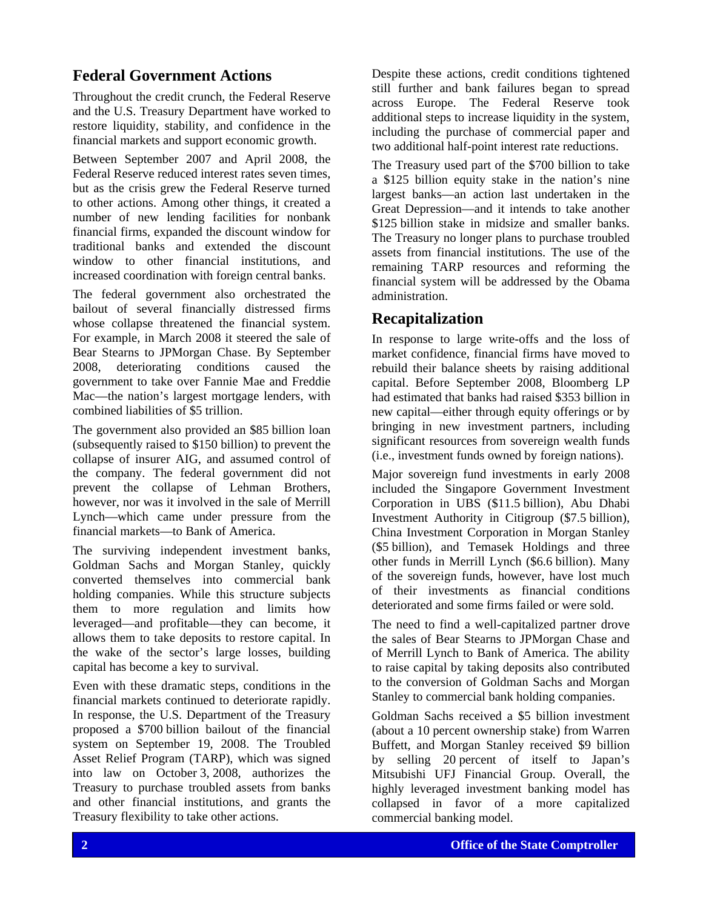# **Federal Government Actions**

Throughout the credit crunch, the Federal Reserve and the U.S. Treasury Department have worked to restore liquidity, stability, and confidence in the financial markets and support economic growth.

Between September 2007 and April 2008, the Federal Reserve reduced interest rates seven times, but as the crisis grew the Federal Reserve turned to other actions. Among other things, it created a number of new lending facilities for nonbank financial firms, expanded the discount window for traditional banks and extended the discount window to other financial institutions, and increased coordination with foreign central banks.

The federal government also orchestrated the bailout of several financially distressed firms whose collapse threatened the financial system. For example, in March 2008 it steered the sale of Bear Stearns to JPMorgan Chase. By September 2008, deteriorating conditions caused the government to take over Fannie Mae and Freddie Mac—the nation's largest mortgage lenders, with combined liabilities of \$5 trillion.

The government also provided an \$85 billion loan (subsequently raised to \$150 billion) to prevent the collapse of insurer AIG, and assumed control of the company. The federal government did not prevent the collapse of Lehman Brothers, however, nor was it involved in the sale of Merrill Lynch—which came under pressure from the financial markets—to Bank of America.

The surviving independent investment banks, Goldman Sachs and Morgan Stanley, quickly converted themselves into commercial bank holding companies. While this structure subjects them to more regulation and limits how leveraged—and profitable—they can become, it allows them to take deposits to restore capital. In the wake of the sector's large losses, building capital has become a key to survival.

Even with these dramatic steps, conditions in the financial markets continued to deteriorate rapidly. In response, the U.S. Department of the Treasury proposed a \$700 billion bailout of the financial system on September 19, 2008. The Troubled Asset Relief Program (TARP), which was signed into law on October 3, 2008, authorizes the Treasury to purchase troubled assets from banks and other financial institutions, and grants the Treasury flexibility to take other actions.

Despite these actions, credit conditions tightened still further and bank failures began to spread across Europe. The Federal Reserve took additional steps to increase liquidity in the system, including the purchase of commercial paper and two additional half-point interest rate reductions.

The Treasury used part of the \$700 billion to take a \$125 billion equity stake in the nation's nine largest banks—an action last undertaken in the Great Depression—and it intends to take another \$125 billion stake in midsize and smaller banks. The Treasury no longer plans to purchase troubled assets from financial institutions. The use of the remaining TARP resources and reforming the financial system will be addressed by the Obama administration.

# **Recapitalization**

In response to large write-offs and the loss of market confidence, financial firms have moved to rebuild their balance sheets by raising additional capital. Before September 2008, Bloomberg LP had estimated that banks had raised \$353 billion in new capital—either through equity offerings or by bringing in new investment partners, including significant resources from sovereign wealth funds (i.e., investment funds owned by foreign nations).

Major sovereign fund investments in early 2008 included the Singapore Government Investment Corporation in UBS (\$11.5 billion), Abu Dhabi Investment Authority in Citigroup (\$7.5 billion), China Investment Corporation in Morgan Stanley (\$5 billion), and Temasek Holdings and three other funds in Merrill Lynch (\$6.6 billion). Many of the sovereign funds, however, have lost much of their investments as financial conditions deteriorated and some firms failed or were sold.

The need to find a well-capitalized partner drove the sales of Bear Stearns to JPMorgan Chase and of Merrill Lynch to Bank of America. The ability to raise capital by taking deposits also contributed to the conversion of Goldman Sachs and Morgan Stanley to commercial bank holding companies.

Goldman Sachs received a \$5 billion investment (about a 10 percent ownership stake) from Warren Buffett, and Morgan Stanley received \$9 billion by selling 20 percent of itself to Japan's Mitsubishi UFJ Financial Group. Overall, the highly leveraged investment banking model has collapsed in favor of a more capitalized commercial banking model.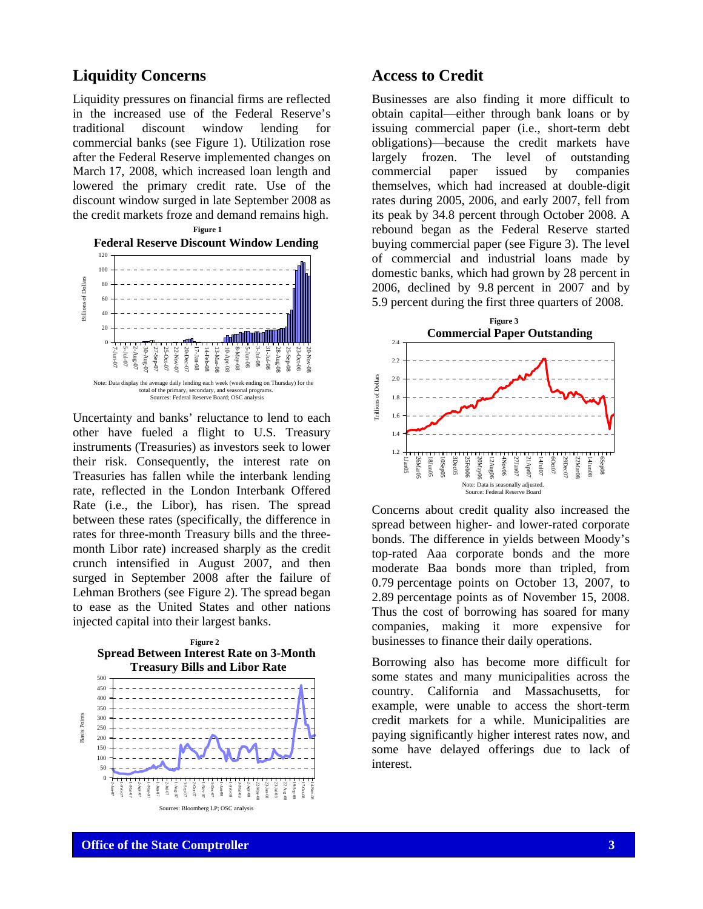# **Liquidity Concerns**

Liquidity pressures on financial firms are reflected in the increased use of the Federal Reserve's traditional discount window lending for commercial banks (see Figure 1). Utilization rose after the Federal Reserve implemented changes on March 17, 2008, which increased loan length and lowered the primary credit rate. Use of the discount window surged in late September 2008 as the credit markets froze and demand remains high.



Uncertainty and banks' reluctance to lend to each other have fueled a flight to U.S. Treasury instruments (Treasuries) as investors seek to lower their risk. Consequently, the interest rate on Treasuries has fallen while the interbank lending rate, reflected in the London Interbank Offered Rate (i.e., the Libor), has risen. The spread between these rates (specifically, the difference in rates for three-month Treasury bills and the threemonth Libor rate) increased sharply as the credit crunch intensified in August 2007, and then surged in September 2008 after the failure of Lehman Brothers (see Figure 2). The spread began to ease as the United States and other nations injected capital into their largest banks.



# **Access to Credit**

Businesses are also finding it more difficult to obtain capital—either through bank loans or by issuing commercial paper (i.e., short-term debt obligations)—because the credit markets have largely frozen. The level of outstanding commercial paper issued by companies themselves, which had increased at double-digit rates during 2005, 2006, and early 2007, fell from its peak by 34.8 percent through October 2008. A rebound began as the Federal Reserve started buying commercial paper (see Figure 3). The level of commercial and industrial loans made by domestic banks, which had grown by 28 percent in 2006, declined by 9.8 percent in 2007 and by 5.9 percent during the first three quarters of 2008.



Concerns about credit quality also increased the spread between higher- and lower-rated corporate bonds. The difference in yields between Moody's top-rated Aaa corporate bonds and the more moderate Baa bonds more than tripled, from 0.79 percentage points on October 13, 2007, to 2.89 percentage points as of November 15, 2008. Thus the cost of borrowing has soared for many companies, making it more expensive for businesses to finance their daily operations.

Borrowing also has become more difficult for some states and many municipalities across the country. California and Massachusetts, for example, were unable to access the short-term credit markets for a while. Municipalities are paying significantly higher interest rates now, and some have delayed offerings due to lack of interest.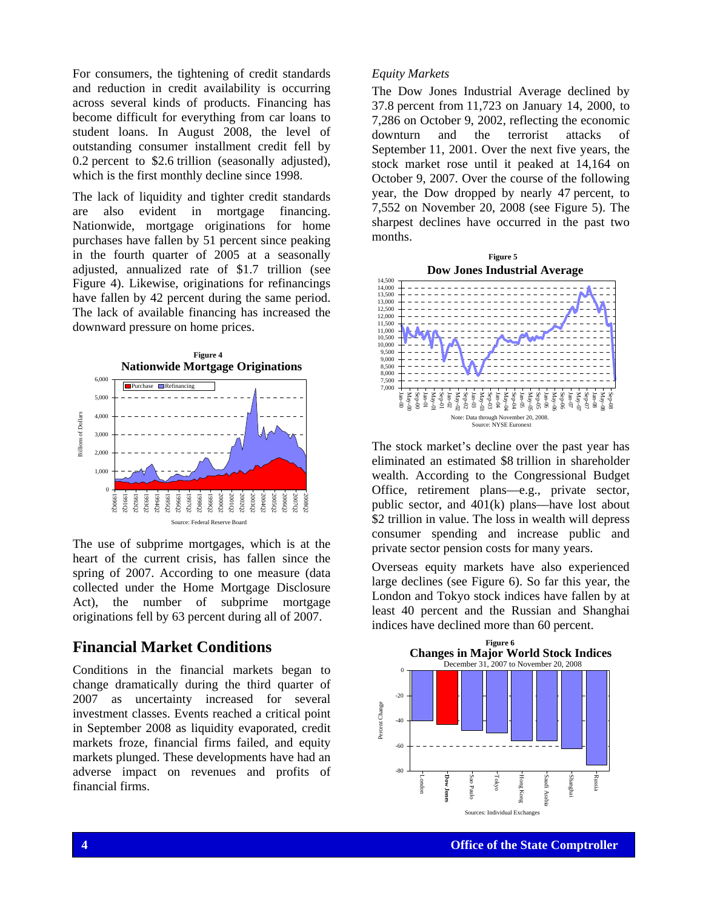For consumers, the tightening of credit standards and reduction in credit availability is occurring across several kinds of products. Financing has become difficult for everything from car loans to student loans. In August 2008, the level of outstanding consumer installment credit fell by 0.2 percent to \$2.6 trillion (seasonally adjusted), which is the first monthly decline since 1998.

The lack of liquidity and tighter credit standards are also evident in mortgage financing. Nationwide, mortgage originations for home purchases have fallen by 51 percent since peaking in the fourth quarter of 2005 at a seasonally adjusted, annualized rate of \$1.7 trillion (see Figure 4). Likewise, originations for refinancings have fallen by 42 percent during the same period. The lack of available financing has increased the downward pressure on home prices.



The use of subprime mortgages, which is at the heart of the current crisis, has fallen since the spring of 2007. According to one measure (data collected under the Home Mortgage Disclosure Act), the number of subprime mortgage originations fell by 63 percent during all of 2007.

## **Financial Market Conditions**

Conditions in the financial markets began to change dramatically during the third quarter of 2007 as uncertainty increased for several investment classes. Events reached a critical point in September 2008 as liquidity evaporated, credit markets froze, financial firms failed, and equity markets plunged. These developments have had an adverse impact on revenues and profits of financial firms.

#### *Equity Markets*

The Dow Jones Industrial Average declined by 37.8 percent from 11,723 on January 14, 2000, to 7,286 on October 9, 2002, reflecting the economic downturn and the terrorist attacks of September 11, 2001. Over the next five years, the stock market rose until it peaked at 14,164 on October 9, 2007. Over the course of the following year, the Dow dropped by nearly 47 percent, to 7,552 on November 20, 2008 (see Figure 5). The sharpest declines have occurred in the past two months.



The stock market's decline over the past year has eliminated an estimated \$8 trillion in shareholder wealth. According to the Congressional Budget Office, retirement plans—e.g., private sector, public sector, and 401(k) plans—have lost about \$2 trillion in value. The loss in wealth will depress consumer spending and increase public and private sector pension costs for many years.

Overseas equity markets have also experienced large declines (see Figure 6). So far this year, the London and Tokyo stock indices have fallen by at least 40 percent and the Russian and Shanghai indices have declined more than 60 percent.

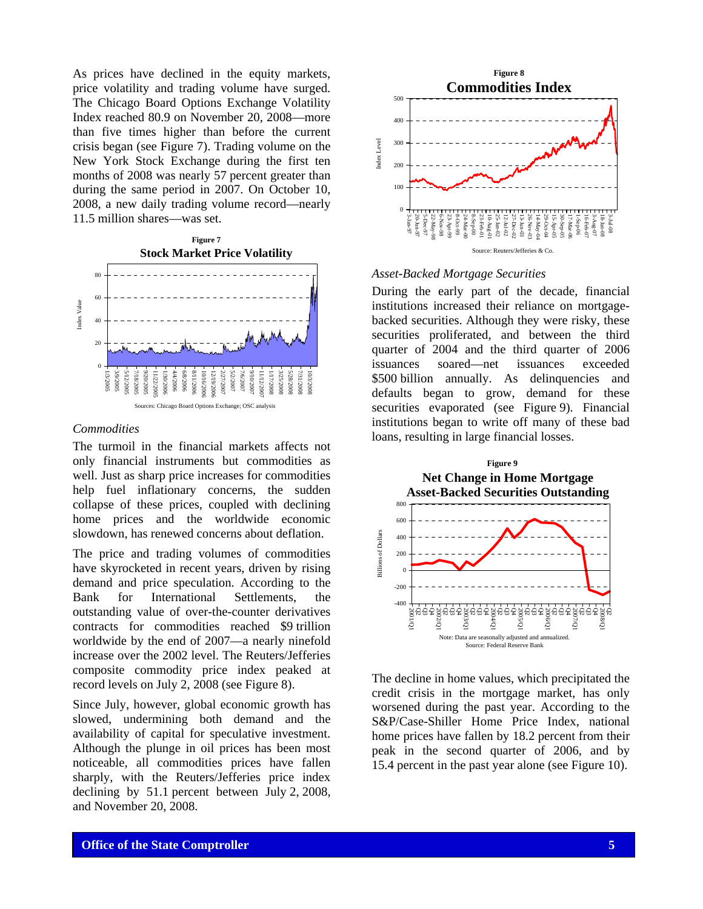As prices have declined in the equity markets, price volatility and trading volume have surged. The Chicago Board Options Exchange Volatility Index reached 80.9 on November 20, 2008—more than five times higher than before the current crisis began (see Figure 7). Trading volume on the New York Stock Exchange during the first ten months of 2008 was nearly 57 percent greater than during the same period in 2007. On October 10, 2008, a new daily trading volume record—nearly 11.5 million shares—was set.



#### *Commodities*

The turmoil in the financial markets affects not only financial instruments but commodities as well. Just as sharp price increases for commodities help fuel inflationary concerns, the sudden collapse of these prices, coupled with declining home prices and the worldwide economic slowdown, has renewed concerns about deflation.

The price and trading volumes of commodities have skyrocketed in recent years, driven by rising demand and price speculation. According to the Bank for International Settlements, the outstanding value of over-the-counter derivatives contracts for commodities reached \$9 trillion worldwide by the end of 2007—a nearly ninefold increase over the 2002 level. The Reuters/Jefferies composite commodity price index peaked at record levels on July 2, 2008 (see Figure 8).

Since July, however, global economic growth has slowed, undermining both demand and the availability of capital for speculative investment. Although the plunge in oil prices has been most noticeable, all commodities prices have fallen sharply, with the Reuters/Jefferies price index declining by 51.1 percent between July 2, 2008, and November 20, 2008.



*Asset-Backed Mortgage Securities* 

During the early part of the decade, financial institutions increased their reliance on mortgagebacked securities. Although they were risky, these securities proliferated, and between the third quarter of 2004 and the third quarter of 2006 issuances soared—net issuances exceeded \$500 billion annually. As delinquencies and defaults began to grow, demand for these securities evaporated (see Figure 9). Financial institutions began to write off many of these bad loans, resulting in large financial losses.



The decline in home values, which precipitated the credit crisis in the mortgage market, has only worsened during the past year. According to the S&P/Case-Shiller Home Price Index, national home prices have fallen by 18.2 percent from their peak in the second quarter of 2006, and by 15.4 percent in the past year alone (see Figure 10).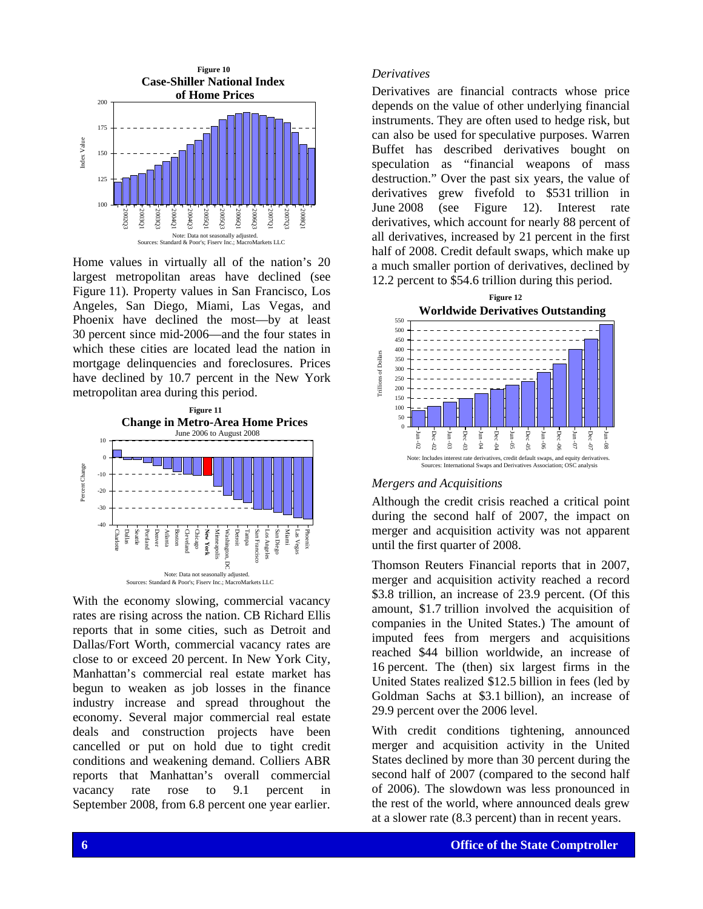

Home values in virtually all of the nation's 20 largest metropolitan areas have declined (see Figure 11). Property values in San Francisco, Los Angeles, San Diego, Miami, Las Vegas, and Phoenix have declined the most—by at least 30 percent since mid-2006—and the four states in which these cities are located lead the nation in mortgage delinquencies and foreclosures. Prices have declined by 10.7 percent in the New York metropolitan area during this period.



**Example 2** Office of the State Comptrane and the State Comptress, increased by 21 persons in the number of the State Comptroller areas and the State Comptroller and the State Comptroller and the State Comptroller and the With the economy slowing, commercial vacancy rates are rising across the nation. CB Richard Ellis reports that in some cities, such as Detroit and Dallas/Fort Worth, commercial vacancy rates are close to or exceed 20 percent. In New York City, Manhattan's commercial real estate market has begun to weaken as job losses in the finance industry increase and spread throughout the economy. Several major commercial real estate deals and construction projects have been cancelled or put on hold due to tight credit conditions and weakening demand. Colliers ABR reports that Manhattan's overall commercial vacancy rate rose to 9.1 percent in September 2008, from 6.8 percent one year earlier.

### *Derivatives*

Derivatives are financial contracts whose price depends on the value of other underlying financial instruments. They are often used to hedge risk, but can also be used for speculative purposes. Warren Buffet has described derivatives bought on speculation as "financial weapons of mass destruction." Over the past six years, the value of derivatives grew fivefold to \$531 trillion in June 2008 (see Figure 12). Interest rate derivatives, which account for nearly 88 percent of all derivatives, increased by 21 percent in the first half of 2008. Credit default swaps, which make up a much smaller portion of derivatives, declined by 12.2 percent to \$54.6 trillion during this period.



### *Mergers and Acquisitions*

Although the credit crisis reached a critical point during the second half of 2007, the impact on merger and acquisition activity was not apparent until the first quarter of 2008.

Thomson Reuters Financial reports that in 2007, merger and acquisition activity reached a record \$3.8 trillion, an increase of 23.9 percent. (Of this amount, \$1.7 trillion involved the acquisition of companies in the United States.) The amount of imputed fees from mergers and acquisitions reached \$44 billion worldwide, an increase of 16 percent. The (then) six largest firms in the United States realized \$12.5 billion in fees (led by Goldman Sachs at \$3.1 billion), an increase of 29.9 percent over the 2006 level.

With credit conditions tightening, announced merger and acquisition activity in the United States declined by more than 30 percent during the second half of 2007 (compared to the second half of 2006). The slowdown was less pronounced in the rest of the world, where announced deals grew at a slower rate (8.3 percent) than in recent years.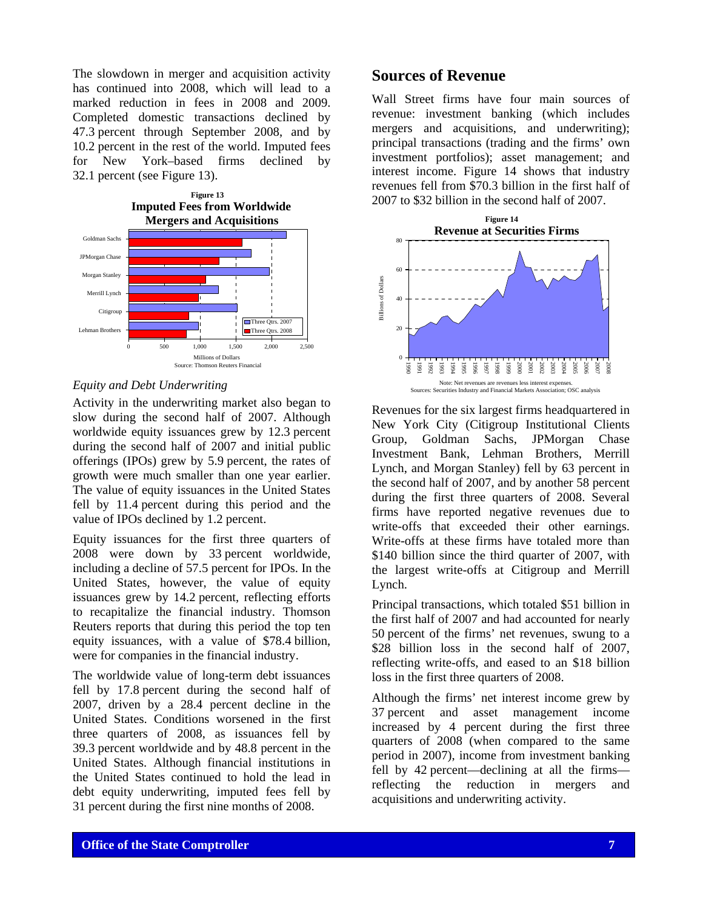The slowdown in merger and acquisition activity has continued into 2008, which will lead to a marked reduction in fees in 2008 and 2009. Completed domestic transactions declined by 47.3 percent through September 2008, and by 10.2 percent in the rest of the world. Imputed fees for New York–based firms declined by 32.1 percent (see Figure 13).



#### *Equity and Debt Underwriting*

Activity in the underwriting market also began to slow during the second half of 2007. Although worldwide equity issuances grew by 12.3 percent during the second half of 2007 and initial public offerings (IPOs) grew by 5.9 percent, the rates of growth were much smaller than one year earlier. The value of equity issuances in the United States fell by 11.4 percent during this period and the value of IPOs declined by 1.2 percent.

Equity issuances for the first three quarters of 2008 were down by 33 percent worldwide, including a decline of 57.5 percent for IPOs. In the United States, however, the value of equity issuances grew by 14.2 percent, reflecting efforts to recapitalize the financial industry. Thomson Reuters reports that during this period the top ten equity issuances, with a value of \$78.4 billion, were for companies in the financial industry.

The worldwide value of long-term debt issuances fell by 17.8 percent during the second half of 2007, driven by a 28.4 percent decline in the United States. Conditions worsened in the first three quarters of 2008, as issuances fell by 39.3 percent worldwide and by 48.8 percent in the United States. Although financial institutions in the United States continued to hold the lead in debt equity underwriting, imputed fees fell by 31 percent during the first nine months of 2008.

# **Sources of Revenue**

Wall Street firms have four main sources of revenue: investment banking (which includes mergers and acquisitions, and underwriting); principal transactions (trading and the firms' own investment portfolios); asset management; and interest income. Figure 14 shows that industry revenues fell from \$70.3 billion in the first half of 2007 to \$32 billion in the second half of 2007.



Revenues for the six largest firms headquartered in New York City (Citigroup Institutional Clients Group, Goldman Sachs, JPMorgan Chase Investment Bank, Lehman Brothers, Merrill Lynch, and Morgan Stanley) fell by 63 percent in the second half of 2007, and by another 58 percent during the first three quarters of 2008. Several firms have reported negative revenues due to write-offs that exceeded their other earnings. Write-offs at these firms have totaled more than \$140 billion since the third quarter of 2007, with the largest write-offs at Citigroup and Merrill Lynch.

Principal transactions, which totaled \$51 billion in the first half of 2007 and had accounted for nearly 50 percent of the firms' net revenues, swung to a \$28 billion loss in the second half of 2007. reflecting write-offs, and eased to an \$18 billion loss in the first three quarters of 2008.

Although the firms' net interest income grew by 37 percent and asset management income increased by 4 percent during the first three quarters of 2008 (when compared to the same period in 2007), income from investment banking fell by 42 percent—declining at all the firms reflecting the reduction in mergers and acquisitions and underwriting activity.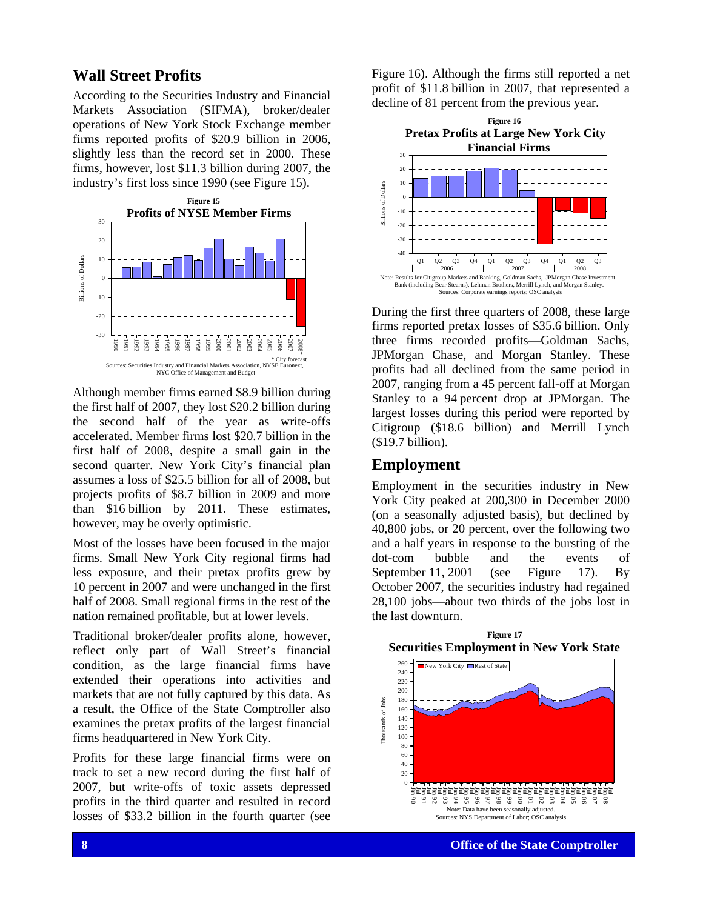# **Wall Street Profits**

According to the Securities Industry and Financial Markets Association (SIFMA), broker/dealer operations of New York Stock Exchange member firms reported profits of \$20.9 billion in 2006, slightly less than the record set in 2000. These firms, however, lost \$11.3 billion during 2007, the industry's first loss since 1990 (see Figure 15).



Although member firms earned \$8.9 billion during the first half of 2007, they lost \$20.2 billion during the second half of the year as write-offs accelerated. Member firms lost \$20.7 billion in the first half of 2008, despite a small gain in the second quarter. New York City's financial plan assumes a loss of \$25.5 billion for all of 2008, but projects profits of \$8.7 billion in 2009 and more than \$16 billion by 2011. These estimates, however, may be overly optimistic.

Most of the losses have been focused in the major firms. Small New York City regional firms had less exposure, and their pretax profits grew by 10 percent in 2007 and were unchanged in the first half of 2008. Small regional firms in the rest of the nation remained profitable, but at lower levels.

Traditional broker/dealer profits alone, however, reflect only part of Wall Street's financial condition, as the large financial firms have extended their operations into activities and markets that are not fully captured by this data. As a result, the Office of the State Comptroller also examines the pretax profits of the largest financial firms headquartered in New York City.

Profits for these large financial firms were on track to set a new record during the first half of 2007, but write-offs of toxic assets depressed profits in the third quarter and resulted in record losses of \$33.2 billion in the fourth quarter (see Figure 16). Although the firms still reported a net profit of \$11.8 billion in 2007, that represented a decline of 81 percent from the previous year.



During the first three quarters of 2008, these large firms reported pretax losses of \$35.6 billion. Only three firms recorded profits—Goldman Sachs, JPMorgan Chase, and Morgan Stanley. These profits had all declined from the same period in 2007, ranging from a 45 percent fall-off at Morgan Stanley to a 94 percent drop at JPMorgan. The largest losses during this period were reported by Citigroup (\$18.6 billion) and Merrill Lynch (\$19.7 billion).

# **Employment**

Employment in the securities industry in New York City peaked at 200,300 in December 2000 (on a seasonally adjusted basis), but declined by 40,800 jobs, or 20 percent, over the following two and a half years in response to the bursting of the dot-com bubble and the events of September 11, 2001 (see Figure 17). By October 2007, the securities industry had regained 28,100 jobs—about two thirds of the jobs lost in the last downturn.

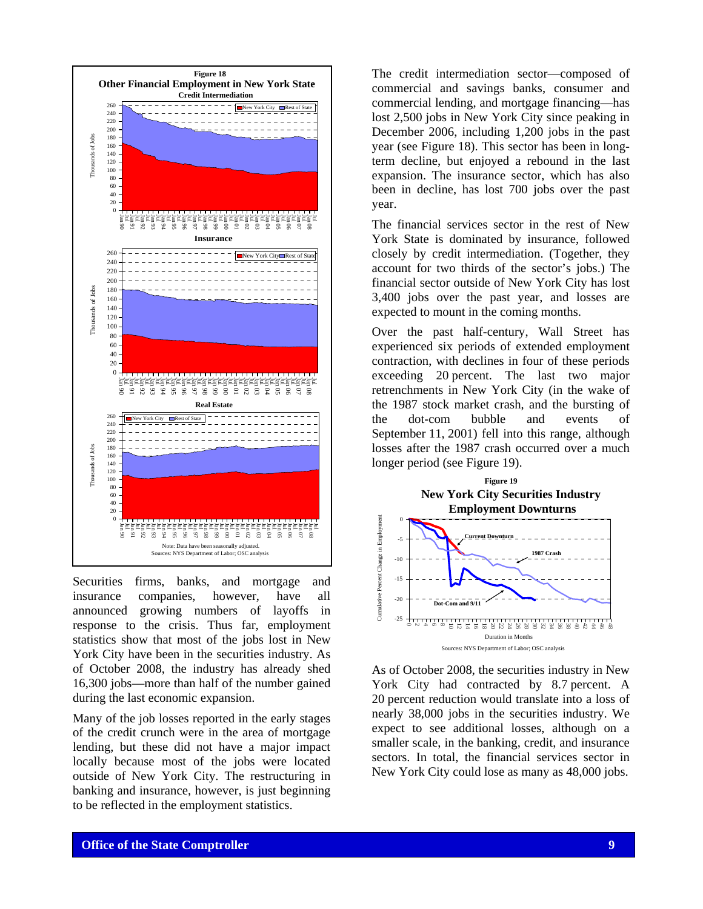

Securities firms, banks, and mortgage and insurance companies, however, have all announced growing numbers of layoffs in response to the crisis. Thus far, employment statistics show that most of the jobs lost in New York City have been in the securities industry. As of October 2008, the industry has already shed 16,300 jobs—more than half of the number gained during the last economic expansion.

Many of the job losses reported in the early stages of the credit crunch were in the area of mortgage lending, but these did not have a major impact locally because most of the jobs were located outside of New York City. The restructuring in banking and insurance, however, is just beginning to be reflected in the employment statistics.

The credit intermediation sector—composed of commercial and savings banks, consumer and commercial lending, and mortgage financing—has lost 2,500 jobs in New York City since peaking in December 2006, including 1,200 jobs in the past year (see Figure 18). This sector has been in longterm decline, but enjoyed a rebound in the last expansion. The insurance sector, which has also been in decline, has lost 700 jobs over the past year.

The financial services sector in the rest of New York State is dominated by insurance, followed closely by credit intermediation. (Together, they account for two thirds of the sector's jobs.) The financial sector outside of New York City has lost 3,400 jobs over the past year, and losses are expected to mount in the coming months.

Over the past half-century, Wall Street has experienced six periods of extended employment contraction, with declines in four of these periods exceeding 20 percent. The last two major retrenchments in New York City (in the wake of the 1987 stock market crash, and the bursting of the dot-com bubble and events of September 11, 2001) fell into this range, although losses after the 1987 crash occurred over a much longer period (see Figure 19).



As of October 2008, the securities industry in New York City had contracted by 8.7 percent. A 20 percent reduction would translate into a loss of nearly 38,000 jobs in the securities industry. We expect to see additional losses, although on a smaller scale, in the banking, credit, and insurance sectors. In total, the financial services sector in New York City could lose as many as 48,000 jobs.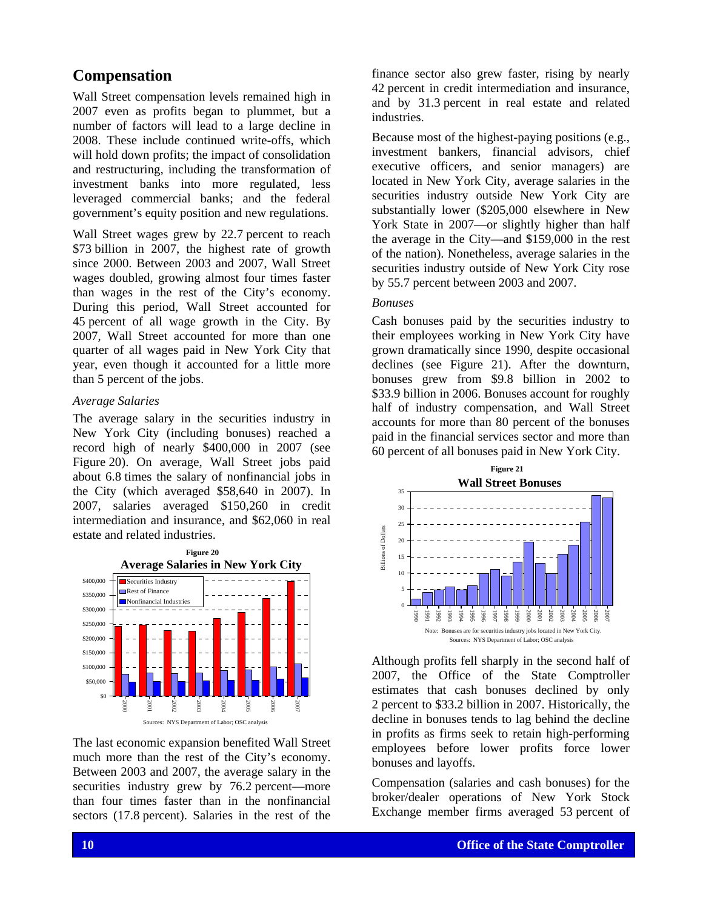# **Compensation**

Wall Street compensation levels remained high in 2007 even as profits began to plummet, but a number of factors will lead to a large decline in 2008. These include continued write-offs, which will hold down profits; the impact of consolidation and restructuring, including the transformation of investment banks into more regulated, less leveraged commercial banks; and the federal government's equity position and new regulations.

Wall Street wages grew by 22.7 percent to reach \$73 billion in 2007, the highest rate of growth since 2000. Between 2003 and 2007, Wall Street wages doubled, growing almost four times faster than wages in the rest of the City's economy. During this period, Wall Street accounted for 45 percent of all wage growth in the City. By 2007, Wall Street accounted for more than one quarter of all wages paid in New York City that year, even though it accounted for a little more than 5 percent of the jobs.

#### *Average Salaries*

The average salary in the securities industry in New York City (including bonuses) reached a record high of nearly \$400,000 in 2007 (see Figure 20). On average, Wall Street jobs paid about 6.8 times the salary of nonfinancial jobs in the City (which averaged \$58,640 in 2007). In 2007, salaries averaged \$150,260 in credit intermediation and insurance, and \$62,060 in real estate and related industries.



The last economic expansion benefited Wall Street much more than the rest of the City's economy. Between 2003 and 2007, the average salary in the securities industry grew by 76.2 percent—more than four times faster than in the nonfinancial sectors (17.8 percent). Salaries in the rest of the finance sector also grew faster, rising by nearly 42 percent in credit intermediation and insurance, and by 31.3 percent in real estate and related industries.

Because most of the highest-paying positions (e.g., investment bankers, financial advisors, chief executive officers, and senior managers) are located in New York City, average salaries in the securities industry outside New York City are substantially lower (\$205,000 elsewhere in New York State in 2007—or slightly higher than half the average in the City—and \$159,000 in the rest of the nation). Nonetheless, average salaries in the securities industry outside of New York City rose by 55.7 percent between 2003 and 2007.

#### *Bonuses*

Cash bonuses paid by the securities industry to their employees working in New York City have grown dramatically since 1990, despite occasional declines (see Figure 21). After the downturn, bonuses grew from \$9.8 billion in 2002 to \$33.9 billion in 2006. Bonuses account for roughly half of industry compensation, and Wall Street accounts for more than 80 percent of the bonuses paid in the financial services sector and more than 60 percent of all bonuses paid in New York City.



Although profits fell sharply in the second half of 2007, the Office of the State Comptroller estimates that cash bonuses declined by only 2 percent to \$33.2 billion in 2007. Historically, the decline in bonuses tends to lag behind the decline in profits as firms seek to retain high-performing employees before lower profits force lower bonuses and layoffs.

Compensation (salaries and cash bonuses) for the broker/dealer operations of New York Stock Exchange member firms averaged 53 percent of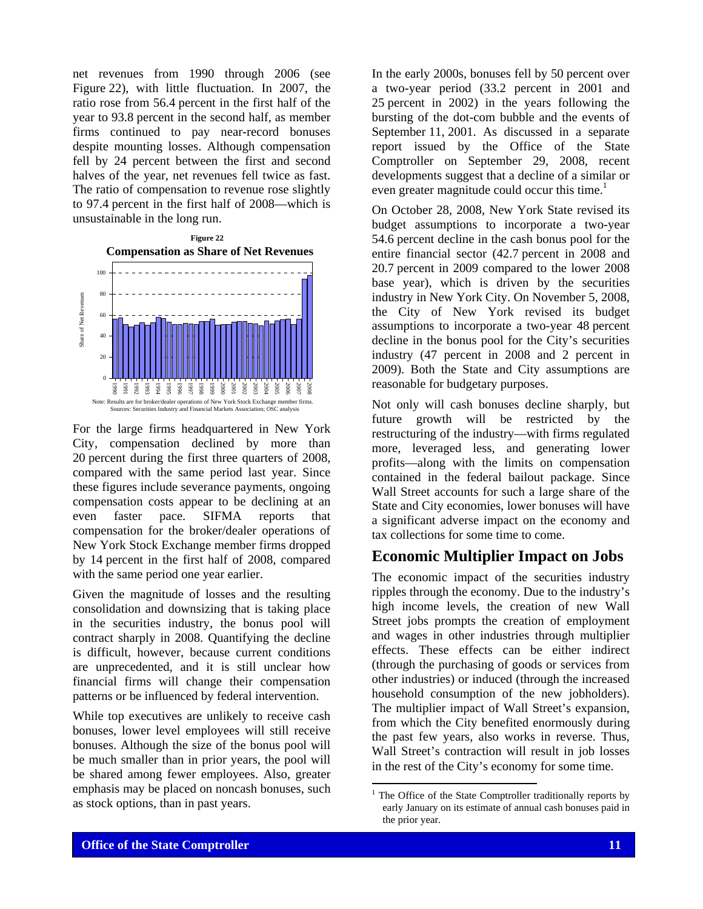net revenues from 1990 through 2006 (see Figure 22), with little fluctuation. In 2007, the ratio rose from 56.4 percent in the first half of the year to 93.8 percent in the second half, as member firms continued to pay near-record bonuses despite mounting losses. Although compensation fell by 24 percent between the first and second halves of the year, net revenues fell twice as fast. The ratio of compensation to revenue rose slightly to 97.4 percent in the first half of 2008—which is unsustainable in the long run.



For the large firms headquartered in New York City, compensation declined by more than 20 percent during the first three quarters of 2008, compared with the same period last year. Since these figures include severance payments, ongoing compensation costs appear to be declining at an even faster pace. SIFMA reports that compensation for the broker/dealer operations of New York Stock Exchange member firms dropped by 14 percent in the first half of 2008, compared with the same period one year earlier.

Given the magnitude of losses and the resulting consolidation and downsizing that is taking place in the securities industry, the bonus pool will contract sharply in 2008. Quantifying the decline is difficult, however, because current conditions are unprecedented, and it is still unclear how financial firms will change their compensation patterns or be influenced by federal intervention.

While top executives are unlikely to receive cash bonuses, lower level employees will still receive bonuses. Although the size of the bonus pool will be much smaller than in prior years, the pool will be shared among fewer employees. Also, greater emphasis may be placed on noncash bonuses, such as stock options, than in past years.

In the early 2000s, bonuses fell by 50 percent over a two-year period (33.2 percent in 2001 and 25 percent in 2002) in the years following the bursting of the dot-com bubble and the events of September 11, 2001. As discussed in a separate report issued by the Office of the State Comptroller on September 29, 2008, recent developments suggest that a decline of a similar or even greater magnitude could occur this time.<sup>1</sup>

On October 28, 2008, New York State revised its budget assumptions to incorporate a two-year 54.6 percent decline in the cash bonus pool for the entire financial sector (42.7 percent in 2008 and 20.7 percent in 2009 compared to the lower 2008 base year), which is driven by the securities industry in New York City. On November 5, 2008, the City of New York revised its budget assumptions to incorporate a two-year 48 percent decline in the bonus pool for the City's securities industry (47 percent in 2008 and 2 percent in 2009). Both the State and City assumptions are reasonable for budgetary purposes.

Not only will cash bonuses decline sharply, but future growth will be restricted by the restructuring of the industry—with firms regulated more, leveraged less, and generating lower profits—along with the limits on compensation contained in the federal bailout package. Since Wall Street accounts for such a large share of the State and City economies, lower bonuses will have a significant adverse impact on the economy and tax collections for some time to come.

# **Economic Multiplier Impact on Jobs**

The economic impact of the securities industry ripples through the economy. Due to the industry's high income levels, the creation of new Wall Street jobs prompts the creation of employment and wages in other industries through multiplier effects. These effects can be either indirect (through the purchasing of goods or services from other industries) or induced (through the increased household consumption of the new jobholders). The multiplier impact of Wall Street's expansion, from which the City benefited enormously during the past few years, also works in reverse. Thus, Wall Street's contraction will result in job losses in the rest of the City's economy for some time.

 $\overline{a}$ 

<sup>1</sup> The Office of the State Comptroller traditionally reports by early January on its estimate of annual cash bonuses paid in the prior year.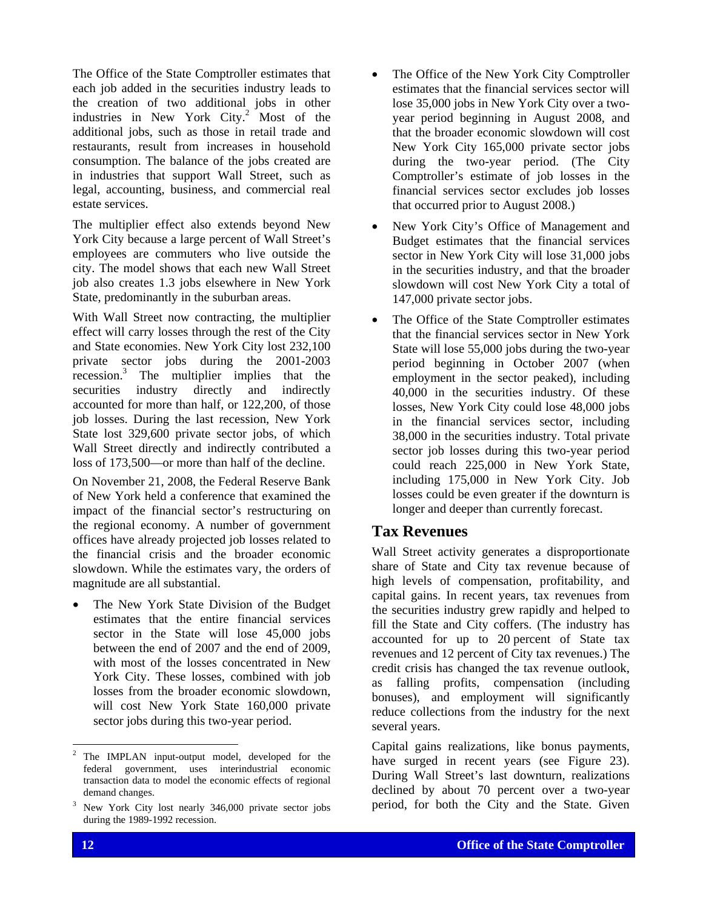The Office of the State Comptroller estimates that each job added in the securities industry leads to the creation of two additional jobs in other industries in New York  $\text{City.}^2$  Most of the additional jobs, such as those in retail trade and restaurants, result from increases in household consumption. The balance of the jobs created are in industries that support Wall Street, such as legal, accounting, business, and commercial real estate services.

The multiplier effect also extends beyond New York City because a large percent of Wall Street's employees are commuters who live outside the city. The model shows that each new Wall Street job also creates 1.3 jobs elsewhere in New York State, predominantly in the suburban areas.

With Wall Street now contracting, the multiplier effect will carry losses through the rest of the City and State economies. New York City lost 232,100 private sector jobs during the 2001-2003 recession.<sup>3</sup> The multiplier implies that the securities industry directly and indirectly accounted for more than half, or 122,200, of those job losses. During the last recession, New York State lost 329,600 private sector jobs, of which Wall Street directly and indirectly contributed a loss of 173,500—or more than half of the decline.

On November 21, 2008, the Federal Reserve Bank of New York held a conference that examined the impact of the financial sector's restructuring on the regional economy. A number of government offices have already projected job losses related to the financial crisis and the broader economic slowdown. While the estimates vary, the orders of magnitude are all substantial.

The New York State Division of the Budget estimates that the entire financial services sector in the State will lose 45,000 jobs between the end of 2007 and the end of 2009, with most of the losses concentrated in New York City. These losses, combined with job losses from the broader economic slowdown, will cost New York State 160,000 private sector jobs during this two-year period.

- The Office of the New York City Comptroller estimates that the financial services sector will lose 35,000 jobs in New York City over a twoyear period beginning in August 2008, and that the broader economic slowdown will cost New York City 165,000 private sector jobs during the two-year period. (The City Comptroller's estimate of job losses in the financial services sector excludes job losses that occurred prior to August 2008.)
- New York City's Office of Management and Budget estimates that the financial services sector in New York City will lose 31,000 jobs in the securities industry, and that the broader slowdown will cost New York City a total of 147,000 private sector jobs.
- The Office of the State Comptroller estimates that the financial services sector in New York State will lose 55,000 jobs during the two-year period beginning in October 2007 (when employment in the sector peaked), including 40,000 in the securities industry. Of these losses, New York City could lose 48,000 jobs in the financial services sector, including 38,000 in the securities industry. Total private sector job losses during this two-year period could reach 225,000 in New York State, including 175,000 in New York City. Job losses could be even greater if the downturn is longer and deeper than currently forecast.

# **Tax Revenues**

Wall Street activity generates a disproportionate share of State and City tax revenue because of high levels of compensation, profitability, and capital gains. In recent years, tax revenues from the securities industry grew rapidly and helped to fill the State and City coffers. (The industry has accounted for up to 20 percent of State tax revenues and 12 percent of City tax revenues.) The credit crisis has changed the tax revenue outlook, as falling profits, compensation (including bonuses), and employment will significantly reduce collections from the industry for the next several years.

Capital gains realizations, like bonus payments, have surged in recent years (see Figure 23). During Wall Street's last downturn, realizations declined by about 70 percent over a two-year period, for both the City and the State. Given

1

<sup>2</sup> The IMPLAN input-output model, developed for the federal government, uses interindustrial economic transaction data to model the economic effects of regional demand changes.

<sup>3</sup> New York City lost nearly 346,000 private sector jobs during the 1989-1992 recession.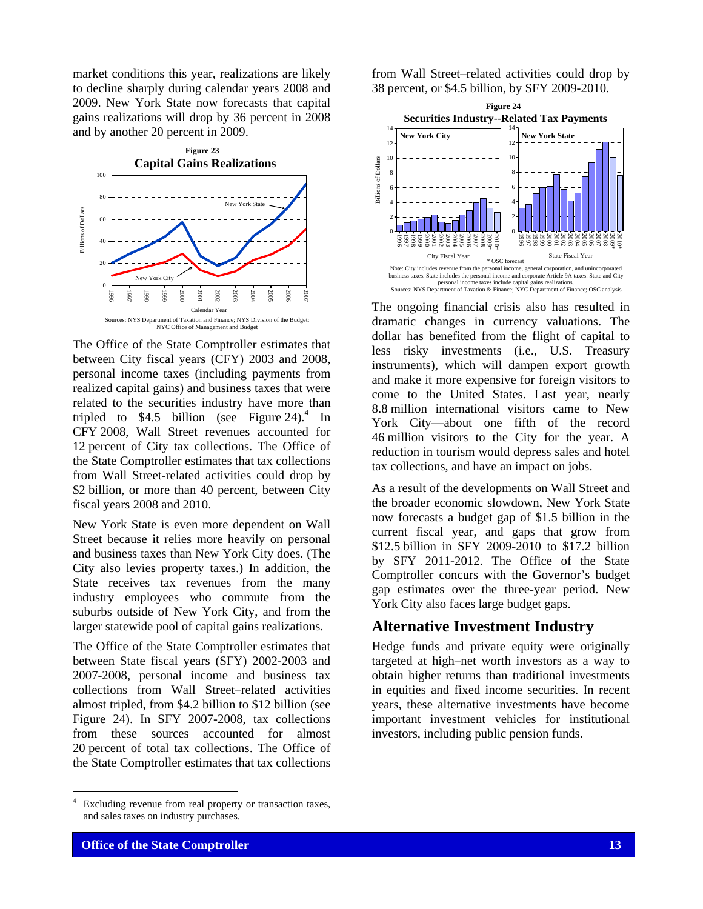market conditions this year, realizations are likely to decline sharply during calendar years 2008 and 2009. New York State now forecasts that capital gains realizations will drop by 36 percent in 2008 and by another 20 percent in 2009.



The Office of the State Comptroller estimates that between City fiscal years (CFY) 2003 and 2008, personal income taxes (including payments from realized capital gains) and business taxes that were related to the securities industry have more than tripled to  $$4.5$  billion (see Figure 24).<sup>4</sup> In CFY 2008, Wall Street revenues accounted for 12 percent of City tax collections. The Office of the State Comptroller estimates that tax collections from Wall Street-related activities could drop by \$2 billion, or more than 40 percent, between City fiscal years 2008 and 2010.

New York State is even more dependent on Wall Street because it relies more heavily on personal and business taxes than New York City does. (The City also levies property taxes.) In addition, the State receives tax revenues from the many industry employees who commute from the suburbs outside of New York City, and from the larger statewide pool of capital gains realizations.

The Office of the State Comptroller estimates that between State fiscal years (SFY) 2002-2003 and 2007-2008, personal income and business tax collections from Wall Street–related activities almost tripled, from \$4.2 billion to \$12 billion (see Figure 24). In SFY 2007-2008, tax collections from these sources accounted for almost 20 percent of total tax collections. The Office of the State Comptroller estimates that tax collections

 $\frac{1}{4}$  Excluding revenue from real property or transaction taxes, and sales taxes on industry purchases.

from Wall Street–related activities could drop by 38 percent, or \$4.5 billion, by SFY 2009-2010.



The ongoing financial crisis also has resulted in dramatic changes in currency valuations. The dollar has benefited from the flight of capital to less risky investments (i.e., U.S. Treasury instruments), which will dampen export growth and make it more expensive for foreign visitors to come to the United States. Last year, nearly 8.8 million international visitors came to New York City—about one fifth of the record 46 million visitors to the City for the year. A reduction in tourism would depress sales and hotel tax collections, and have an impact on jobs.

As a result of the developments on Wall Street and the broader economic slowdown, New York State now forecasts a budget gap of \$1.5 billion in the current fiscal year, and gaps that grow from \$12.5 billion in SFY 2009-2010 to \$17.2 billion by SFY 2011-2012. The Office of the State Comptroller concurs with the Governor's budget gap estimates over the three-year period. New York City also faces large budget gaps.

# **Alternative Investment Industry**

Hedge funds and private equity were originally targeted at high–net worth investors as a way to obtain higher returns than traditional investments in equities and fixed income securities. In recent years, these alternative investments have become important investment vehicles for institutional investors, including public pension funds.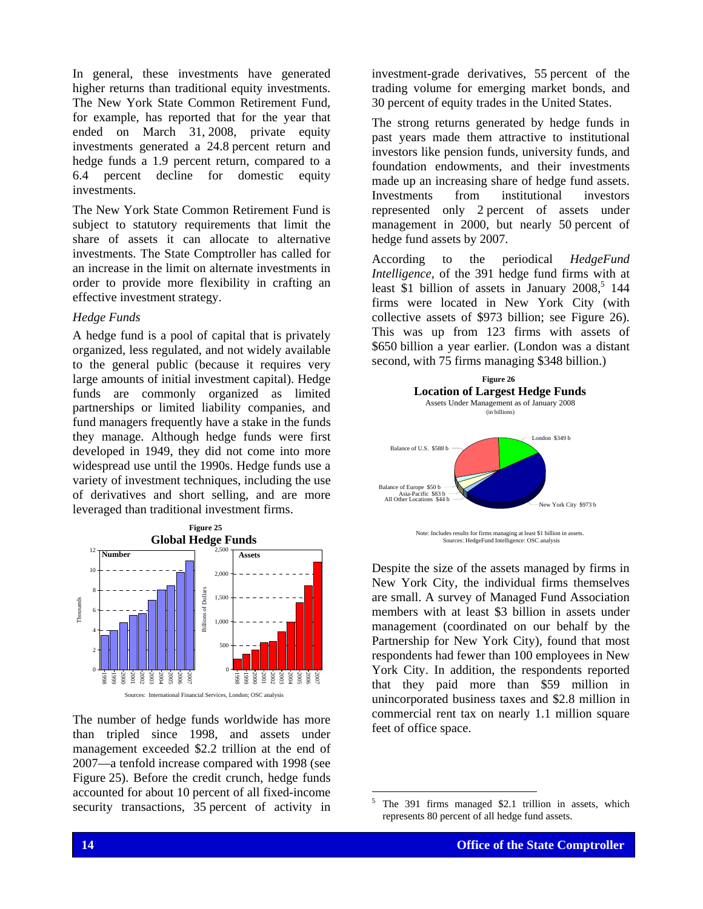In general, these investments have generated higher returns than traditional equity investments. The New York State Common Retirement Fund, for example, has reported that for the year that ended on March 31, 2008, private equity investments generated a 24.8 percent return and hedge funds a 1.9 percent return, compared to a 6.4 percent decline for domestic equity investments.

The New York State Common Retirement Fund is subject to statutory requirements that limit the share of assets it can allocate to alternative investments. The State Comptroller has called for an increase in the limit on alternate investments in order to provide more flexibility in crafting an effective investment strategy.

#### *Hedge Funds*

A hedge fund is a pool of capital that is privately organized, less regulated, and not widely available to the general public (because it requires very large amounts of initial investment capital). Hedge funds are commonly organized as limited partnerships or limited liability companies, and fund managers frequently have a stake in the funds they manage. Although hedge funds were first developed in 1949, they did not come into more widespread use until the 1990s. Hedge funds use a variety of investment techniques, including the use of derivatives and short selling, and are more leveraged than traditional investment firms.



The number of hedge funds worldwide has more than tripled since 1998, and assets under management exceeded \$2.2 trillion at the end of 2007—a tenfold increase compared with 1998 (see Figure 25). Before the credit crunch, hedge funds accounted for about 10 percent of all fixed-income security transactions, 35 percent of activity in investment-grade derivatives, 55 percent of the trading volume for emerging market bonds, and 30 percent of equity trades in the United States.

The strong returns generated by hedge funds in past years made them attractive to institutional investors like pension funds, university funds, and foundation endowments, and their investments made up an increasing share of hedge fund assets. Investments from institutional investors represented only 2 percent of assets under management in 2000, but nearly 50 percent of hedge fund assets by 2007.

According to the periodical *HedgeFund Intelligence,* of the 391 hedge fund firms with at least  $$1$  billion of assets in January 2008,<sup>5</sup> 144 firms were located in New York City (with collective assets of \$973 billion; see Figure 26). This was up from 123 firms with assets of \$650 billion a year earlier. (London was a distant second, with 75 firms managing \$348 billion.)



Despite the size of the assets managed by firms in New York City, the individual firms themselves are small. A survey of Managed Fund Association members with at least \$3 billion in assets under management (coordinated on our behalf by the Partnership for New York City), found that most respondents had fewer than 100 employees in New York City. In addition, the respondents reported that they paid more than \$59 million in unincorporated business taxes and \$2.8 million in commercial rent tax on nearly 1.1 million square feet of office space.

 5 The 391 firms managed \$2.1 trillion in assets, which represents 80 percent of all hedge fund assets.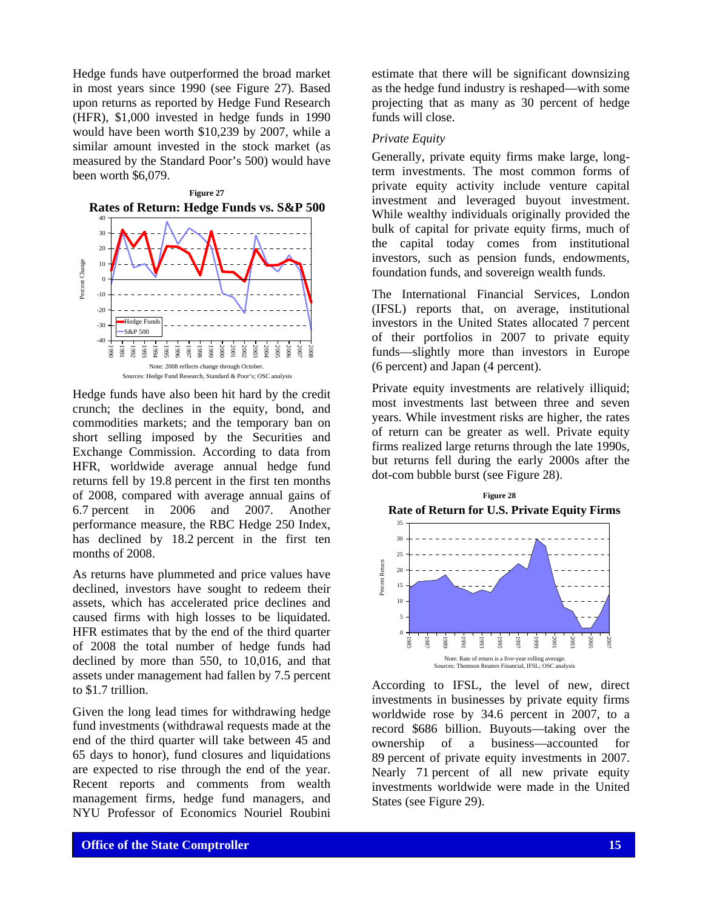Hedge funds have outperformed the broad market in most years since 1990 (see Figure 27). Based upon returns as reported by Hedge Fund Research (HFR), \$1,000 invested in hedge funds in 1990 would have been worth \$10,239 by 2007, while a similar amount invested in the stock market (as measured by the Standard Poor's 500) would have been worth \$6,079.



Hedge funds have also been hit hard by the credit crunch; the declines in the equity, bond, and commodities markets; and the temporary ban on short selling imposed by the Securities and Exchange Commission. According to data from HFR, worldwide average annual hedge fund returns fell by 19.8 percent in the first ten months of 2008, compared with average annual gains of 6.7 percent in 2006 and 2007. Another performance measure, the RBC Hedge 250 Index, has declined by 18.2 percent in the first ten months of 2008.

As returns have plummeted and price values have declined, investors have sought to redeem their assets, which has accelerated price declines and caused firms with high losses to be liquidated. HFR estimates that by the end of the third quarter of 2008 the total number of hedge funds had declined by more than 550, to 10,016, and that assets under management had fallen by 7.5 percent to \$1.7 trillion.

Given the long lead times for withdrawing hedge fund investments (withdrawal requests made at the end of the third quarter will take between 45 and 65 days to honor), fund closures and liquidations are expected to rise through the end of the year. Recent reports and comments from wealth management firms, hedge fund managers, and NYU Professor of Economics Nouriel Roubini

estimate that there will be significant downsizing as the hedge fund industry is reshaped—with some projecting that as many as 30 percent of hedge funds will close.

#### *Private Equity*

Generally, private equity firms make large, longterm investments. The most common forms of private equity activity include venture capital investment and leveraged buyout investment. While wealthy individuals originally provided the bulk of capital for private equity firms, much of the capital today comes from institutional investors, such as pension funds, endowments, foundation funds, and sovereign wealth funds.

The International Financial Services, London (IFSL) reports that, on average, institutional investors in the United States allocated 7 percent of their portfolios in 2007 to private equity funds—slightly more than investors in Europe (6 percent) and Japan (4 percent).

Private equity investments are relatively illiquid; most investments last between three and seven years. While investment risks are higher, the rates of return can be greater as well. Private equity firms realized large returns through the late 1990s, but returns fell during the early 2000s after the dot-com bubble burst (see Figure 28).



According to IFSL, the level of new, direct investments in businesses by private equity firms worldwide rose by 34.6 percent in 2007, to a record \$686 billion. Buyouts—taking over the ownership of a business—accounted for 89 percent of private equity investments in 2007. Nearly 71 percent of all new private equity investments worldwide were made in the United States (see Figure 29).